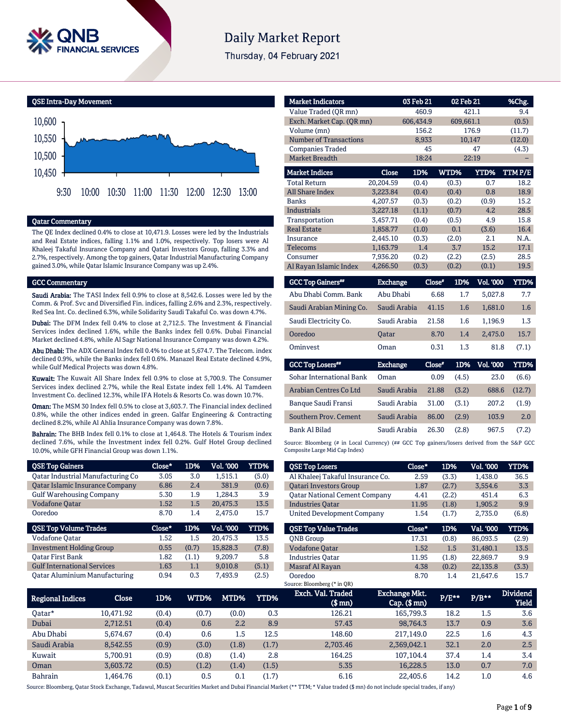

# **Daily Market Report**

Thursday, 04 February 2021

QSE Intra-Day Movement



#### Qatar Commentary

The QE Index declined 0.4% to close at 10,471.9. Losses were led by the Industrials and Real Estate indices, falling 1.1% and 1.0%, respectively. Top losers were Al Khaleej Takaful Insurance Company and Qatari Investors Group, falling 3.3% and 2.7%, respectively. Among the top gainers, Qatar Industrial Manufacturing Company gained 3.0%, while Qatar Islamic Insurance Company was up 2.4%.

#### GCC Commentary

Saudi Arabia: The TASI Index fell 0.9% to close at 8,542.6. Losses were led by the Comm. & Prof. Svc and Diversified Fin. indices, falling 2.6% and 2.3%, respectively. Red Sea Int. Co. declined 6.3%, while Solidarity Saudi Takaful Co. was down 4.7%.

Dubai: The DFM Index fell 0.4% to close at 2,712.5. The Investment & Financial Services index declined 1.6%, while the Banks index fell 0.6%. Dubai Financial Market declined 4.8%, while Al Sagr National Insurance Company was down 4.2%.

Abu Dhabi: The ADX General Index fell 0.4% to close at 5,674.7. The Telecom. index declined 0.9%, while the Banks index fell 0.6%. Manazel Real Estate declined 4.9%, while Gulf Medical Projects was down 4.8%.

Kuwait: The Kuwait All Share Index fell 0.9% to close at 5,700.9. The Consumer Services index declined 2.7%, while the Real Estate index fell 1.4%. Al Tamdeen Investment Co. declined 12.3%, while IFA Hotels & Resorts Co. was down 10.7%.

Oman: The MSM 30 Index fell 0.5% to close at 3,603.7. The Financial index declined 0.8%, while the other indices ended in green. Galfar Engineering & Contracting declined 8.2%, while Al Ahlia Insurance Company was down 7.8%.

Bahrain: The BHB Index fell 0.1% to close at 1,464.8. The Hotels & Tourism index declined 7.6%, while the Investment index fell 0.2%. Gulf Hotel Group declined 10.0%, while GFH Financial Group was down 1.1%.

| <b>OSE Top Gainers</b>             | $Close*$ | 1D%   | Vol. '000 | <b>YTD%</b> |
|------------------------------------|----------|-------|-----------|-------------|
| Oatar Industrial Manufacturing Co  | 3.05     | 3.0   | 1,515.1   | (5.0)       |
| Qatar Islamic Insurance Company    | 6.86     | 2.4   | 381.9     | (0.6)       |
| <b>Gulf Warehousing Company</b>    | 5.30     | 1.9   | 1.284.3   | 3.9         |
| <b>Vodafone Qatar</b>              | 1.52     | 1.5   | 20,475.3  | 13.5        |
| Ooredoo                            | 8.70     | 1.4   | 2,475.0   | 15.7        |
|                                    |          |       |           |             |
| <b>QSE Top Volume Trades</b>       | Close*   | 1D%   | Vol. '000 | YTD%        |
| Vodafone Qatar                     | 1.52     | 1.5   | 20,475.3  | 13.5        |
| <b>Investment Holding Group</b>    | 0.55     | (0.7) | 15,828.3  | (7.8)       |
| Oatar First Bank                   | 1.82     | (1.1) | 9.209.7   | 5.8         |
| <b>Gulf International Services</b> | 1.63     | 1.1   | 9.010.8   | (5.1)       |

| <b>Market Indicators</b>             |                    | 03 Feb 21 | 02 Feb 21  |                  | %Chg.       |
|--------------------------------------|--------------------|-----------|------------|------------------|-------------|
| Value Traded (QR mn)                 |                    | 460.9     |            | 421.1            | 9.4         |
| Exch. Market Cap. (QR mn)            |                    | 606,434.9 | 609,661.1  |                  | (0.5)       |
| Volume (mn)                          |                    | 156.2     |            | 176.9            | (11.7)      |
| <b>Number of Transactions</b>        |                    | 8,933     | 10,147     |                  | (12.0)      |
| <b>Companies Traded</b>              |                    | 45        |            | 47               | (4.3)       |
| <b>Market Breadth</b>                |                    | 18:24     |            | 22:19            |             |
| <b>Market Indices</b>                | <b>Close</b>       | 1D%       | WTD%       | YTD%             | TTM P/E     |
| <b>Total Return</b>                  | 20,204.59          | (0.4)     | (0.3)      | 0.7              | 18.2        |
| <b>All Share Index</b>               | 3,223.84           | (0.4)     | (0.4)      | 0.8              | 18.9        |
| <b>Banks</b>                         | 4,207.57           | (0.3)     | (0.2)      | (0.9)            | 15.2        |
| <b>Industrials</b>                   | 3,227.18           | (1.1)     | (0.7)      | 4.2              | 28.5        |
| Transportation                       | 3,457.71           | (0.4)     | (0.5)      | 4.9              | 15.8        |
| <b>Real Estate</b>                   | 1,858.77           | (1.0)     | 0.1        | (3.6)            | 16.4        |
| Insurance                            | 2,445.10           | (0.3)     | (2.0)      | 2.1              | N.A.        |
| <b>Telecoms</b>                      | 1,163.79           | 1.4       | 3.7        | 15.2             | 17.1        |
| Consumer                             | 7,936.20           | (0.2)     | (2.2)      | (2.5)            | 28.5        |
| Al Rayan Islamic Index               | 4,266.50           | (0.3)     | (0.2)      | (0.1)            | 19.5        |
|                                      |                    |           |            |                  |             |
| <b>GCC Top Gainers</b> <sup>##</sup> | <b>Exchange</b>    | Close*    | 1D%        | <b>Vol. '000</b> | <b>YTD%</b> |
| Abu Dhahi Camm Dank                  | $Ah$ , $Dh$ , $Ai$ |           | c co<br>17 | E ODT O          | 77          |

| Abu Dhabi Comm. Bank     | Abu Dhabi    | 6.68  | 1.7 | 5.027.8 | 7.7   |
|--------------------------|--------------|-------|-----|---------|-------|
| Saudi Arabian Mining Co. | Saudi Arabia | 41.15 | 1.6 | 1.681.0 | 1.6   |
| Saudi Electricity Co.    | Saudi Arabia | 21.58 | 1.6 | 1.196.9 | 1.3   |
| Ooredoo                  | <b>Oatar</b> | 8.70  | 1.4 | 2.475.0 | 15.7  |
| Ominyest                 | Oman         | 0.31  | 1.3 | 81.8    | (7.1) |

| <b>GCC Top Losers**</b>  | <b>Exchange</b> | Close* | 1D%   | <b>Vol. '000</b> | YTD%   |
|--------------------------|-----------------|--------|-------|------------------|--------|
| Sohar International Bank | Oman            | 0.09   | (4.5) | 23.0             | (6.6)  |
| Arabian Centres Co Ltd   | Saudi Arabia    | 21.88  | (3.2) | 688.6            | (12.7) |
| Banque Saudi Fransi      | Saudi Arabia    | 31.00  | (3.1) | 207.2            | (1.9)  |
| Southern Prov. Cement    | Saudi Arabia    | 86.00  | (2.9) | 103.9            | 2.0    |
| Bank Al Bilad            | Saudi Arabia    | 26.30  | (2.8) | 967.5            | (7.2)  |

Source: Bloomberg (# in Local Currency) (## GCC Top gainers/losers derived from the S&P GCC Composite Large Mid Cap Index)

| <b>QSE Top Losers</b>                  | Close*       | 1D%   | <b>Vol. '000</b> | YTD%     |
|----------------------------------------|--------------|-------|------------------|----------|
| Al Khaleej Takaful Insurance Co.       | 2.59         | (3.3) | 1.438.0          | 36.5     |
| <b>Oatari Investors Group</b>          | 1.87         | (2.7) | 3,554.6          | 3.3      |
| <b>Qatar National Cement Company</b>   | 4.41         | (2.2) | 451.4            | 6.3      |
| <b>Industries Oatar</b>                | 11.95        | (1.8) | 1,905.2          | 9.9      |
| <b>United Development Company</b>      | 1.54         | (1.7) | 2.735.0          | (6.8)    |
| <b>OSE Top Value Trades</b>            | Close*       | 1D%   | Val. '000        | YTD%     |
| <b>ONB</b> Group                       | 17.31        | (0.8) | 86.093.5         | (2.9)    |
| <b>Vodafone Qatar</b>                  | 1.52         | 1.5   | 31.480.1         | 13.5     |
| <b>Industries Oatar</b>                | 11.95        | (1.8) | 22,869.7         | 9.9      |
| <b>Masraf Al Rayan</b>                 | 4.38         | (0.2) | 22,135.8         | (3.3)    |
| Ooredoo<br>Source: Bloomberg (* in QR) | 8.70         | 1.4   | 21,647.6         | 15.7     |
| Evek Vol Teodod                        | Evebones Mit |       |                  | Dividand |

| Regional Indices | Close     | 1D%   | WTD%  | MTD%  | YTD%  | Exch. Val. Traded<br>$$$ mn $)$ | <b>Exchange Mkt.</b><br>$Cap.$ ( $$mn)$ | $P/E***$ | $P/B**$ | <b>Dividend</b><br>Yield |
|------------------|-----------|-------|-------|-------|-------|---------------------------------|-----------------------------------------|----------|---------|--------------------------|
| Oatar*           | 10.471.92 | (0.4) | (0.7) | (0.0) | 0.3   | 126.21                          | 165.799.3                               | 18.2     | 1.5     | 3.6                      |
| Dubai            | 2,712.51  | (0.4) | 0.6   | 2.2   | 8.9   | 57.43                           | 98.764.3                                | 13.7     | 0.9     | 3.6                      |
| Abu Dhabi        | 5.674.67  | (0.4) | 0.6   | 1.5   | 12.5  | 148.60                          | 217,149.0                               | 22.5     | 1.6     | 4.3                      |
| Saudi Arabia     | 8.542.55  | (0.9) | (3.0) | (1.8) | (1.7) | 2.703.46                        | 2,369,042.1                             | 32.1     | 2.0     | 2.5                      |
| Kuwait           | 5.700.91  | (0.9) | (0.8) | (1.4) | 2.8   | 164.25                          | 107.104.4                               | 37.4     | 1.4     | 3.4                      |
| Oman             | 3.603.72  | (0.5) | (1.2) | (1.4) | (1.5) | 5.35                            | 16.228.5                                | 13.0     | 0.7     | 7.0                      |
| <b>Bahrain</b>   | l.464.76  | (0.1) | 0.5   | 0.1   | (1.7) | 6.16                            | 22,405.6                                | 14.2     | 1.0     | 4.6                      |

Source: Bloomberg, Qatar Stock Exchange, Tadawul, Muscat Securities Market and Dubai Financial Market (\*\* TTM; \* Value traded (\$ mn) do not include special trades, if any)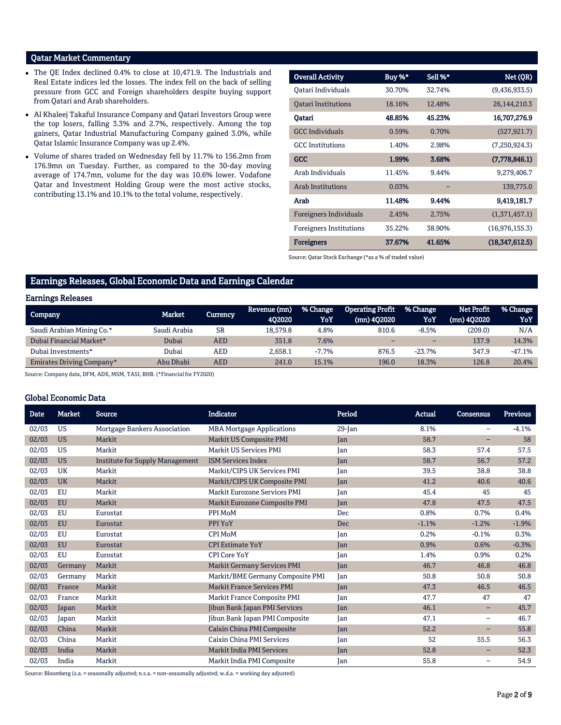### Qatar Market Commentary

- The QE Index declined 0.4% to close at 10,471.9. The Industrials and Real Estate indices led the losses. The index fell on the back of selling pressure from GCC and Foreign shareholders despite buying support from Qatari and Arab shareholders.
- Al Khaleej Takaful Insurance Company and Qatari Investors Group were the top losers, falling 3.3% and 2.7%, respectively. Among the top gainers, Qatar Industrial Manufacturing Company gained 3.0%, while Qatar Islamic Insurance Company was up 2.4%.
- Volume of shares traded on Wednesday fell by 11.7% to 156.2mn from 176.9mn on Tuesday. Further, as compared to the 30-day moving average of 174.7mn, volume for the day was 10.6% lower. Vodafone Qatar and Investment Holding Group were the most active stocks, contributing 13.1% and 10.1% to the total volume, respectively.

| <b>Overall Activity</b>        | Buy %* | Sell %* | Net (QR)       |
|--------------------------------|--------|---------|----------------|
| Oatari Individuals             | 30.70% | 32.74%  | (9,436,933.5)  |
|                                | 18.16% | 12.48%  |                |
| <b>Qatari Institutions</b>     |        |         | 26,144,210.3   |
| Qatari                         | 48.85% | 45.23%  | 16,707,276.9   |
| <b>GCC</b> Individuals         | 0.59%  | 0.70%   | (527, 921.7)   |
| <b>GCC</b> Institutions        | 1.40%  | 2.98%   | (7,250,924.3)  |
| <b>GCC</b>                     | 1.99%  | 3.68%   | (7,778,846.1)  |
| Arab Individuals               | 11.45% | 9.44%   | 9,279,406.7    |
| <b>Arab Institutions</b>       | 0.03%  |         | 139,775.0      |
| Arab                           | 11.48% | 9.44%   | 9,419,181.7    |
| <b>Foreigners Individuals</b>  | 2.45%  | 2.75%   | (1,371,457.1)  |
| <b>Foreigners Institutions</b> | 35.22% | 38.90%  | (16,976,155.3) |
| <b>Foreigners</b>              | 37.67% | 41.65%  | (18,347,612.5) |

Source: Qatar Stock Exchange (\*as a % of traded value)

## Earnings Releases, Global Economic Data and Earnings Calendar

#### Earnings Releases

| Company                   | Market       | Currency  | Revenue (mn)<br>402020 | % Change<br>YoY | <b>Operating Profit</b><br>(mn) 402020 | <b>% Change</b><br>YoY   | Net Profit<br>$(mn)$ 402020 | % Change<br>YoY |
|---------------------------|--------------|-----------|------------------------|-----------------|----------------------------------------|--------------------------|-----------------------------|-----------------|
| Saudi Arabian Mining Co.* | Saudi Arabia | <b>SR</b> | 18.579.8               | 4.8%            | 810.6                                  | $-8.5%$                  | (209.0)                     | N/A             |
| Dubai Financial Market*   | Dubai        | AED       | 351.8                  | 7.6%            | -                                      | $\overline{\phantom{0}}$ | 137.9                       | 14.3%           |
| Dubai Investments*        | Dubai        | AED       | 2.658.1                | $-7.7%$         | 876.5                                  | $-23.7%$                 | 347.9                       | $-47.1%$        |
| Emirates Driving Company* | Abu Dhabi    | AED       | 241.0                  | 15.1%           | 196.0                                  | 18.3%                    | 126.8                       | 20.4%           |

Source: Company data, DFM, ADX, MSM, TASI, BHB. (\*Financial for FY2020)

#### Global Economic Data

| <b>Date</b> | <b>Market</b> | <b>Source</b>                          | <b>Indicator</b>                    | Period     | <b>Actual</b> | Consensus                | <b>Previous</b> |
|-------------|---------------|----------------------------------------|-------------------------------------|------------|---------------|--------------------------|-----------------|
| 02/03       | <b>US</b>     | Mortgage Bankers Association           | <b>MBA Mortgage Applications</b>    | $29$ -Jan  | 8.1%          | $\overline{\phantom{0}}$ | $-4.1%$         |
| 02/03       | <b>US</b>     | Markit                                 | <b>Markit US Composite PMI</b>      | Jan        | 58.7          | -                        | 58              |
| 02/03       | <b>US</b>     | Markit                                 | <b>Markit US Services PMI</b>       | Jan        | 58.3          | 57.4                     | 57.5            |
| 02/03       | <b>US</b>     | <b>Institute for Supply Management</b> | <b>ISM Services Index</b>           | Jan        | 58.7          | 56.7                     | 57.2            |
| 02/03       | <b>UK</b>     | Markit                                 | Markit/CIPS UK Services PMI         | Jan        | 39.5          | 38.8                     | 38.8            |
| 02/03       | <b>UK</b>     | Markit                                 | Markit/CIPS UK Composite PMI        | Jan        | 41.2          | 40.6                     | 40.6            |
| 02/03       | EU            | Markit                                 | <b>Markit Eurozone Services PMI</b> | Jan        | 45.4          | 45                       | 45              |
| 02/03       | <b>EU</b>     | Markit                                 | Markit Eurozone Composite PMI       | Jan        | 47.8          | 47.5                     | 47.5            |
| 02/03       | EU            | Eurostat                               | PPI MoM                             | Dec        | 0.8%          | 0.7%                     | 0.4%            |
| 02/03       | <b>EU</b>     | Eurostat                               | PPI YoY                             | <b>Dec</b> | $-1.1%$       | $-1.2%$                  | $-1.9%$         |
| 02/03       | <b>EU</b>     | Eurostat                               | CPI MoM                             | Jan        | 0.2%          | $-0.1%$                  | 0.3%            |
| 02/03       | <b>EU</b>     | Eurostat                               | <b>CPI Estimate YoY</b>             | Jan        | 0.9%          | 0.6%                     | $-0.3%$         |
| 02/03       | <b>EU</b>     | Eurostat                               | <b>CPI Core YoY</b>                 | Jan        | 1.4%          | 0.9%                     | 0.2%            |
| 02/03       | Germany       | Markit                                 | <b>Markit Germany Services PMI</b>  | Jan        | 46.7          | 46.8                     | 46.8            |
| 02/03       | Germany       | Markit                                 | Markit/BME Germany Composite PMI    | Jan        | 50.8          | 50.8                     | 50.8            |
| 02/03       | France        | Markit                                 | <b>Markit France Services PMI</b>   | Jan        | 47.3          | 46.5                     | 46.5            |
| 02/03       | France        | Markit                                 | Markit France Composite PMI         | Jan        | 47.7          | 47                       | 47              |
| 02/03       | Japan         | Markit                                 | Jibun Bank Japan PMI Services       | Jan        | 46.1          | -                        | 45.7            |
| 02/03       | Japan         | Markit                                 | Jibun Bank Japan PMI Composite      | Jan        | 47.1          | $\qquad \qquad -$        | 46.7            |
| 02/03       | China         | Markit                                 | <b>Caixin China PMI Composite</b>   | Jan        | 52.2          | -                        | 55.8            |
| 02/03       | China         | Markit                                 | Caixin China PMI Services           | Jan        | 52            | 55.5                     | 56.3            |
| 02/03       | India         | Markit                                 | <b>Markit India PMI Services</b>    | Jan        | 52.8          | -                        | 52.3            |
| 02/03       | India         | Markit                                 | Markit India PMI Composite          | Jan        | 55.8          | -                        | 54.9            |

Source: Bloomberg (s.a. = seasonally adjusted; n.s.a. = non-seasonally adjusted; w.d.a. = working day adjusted)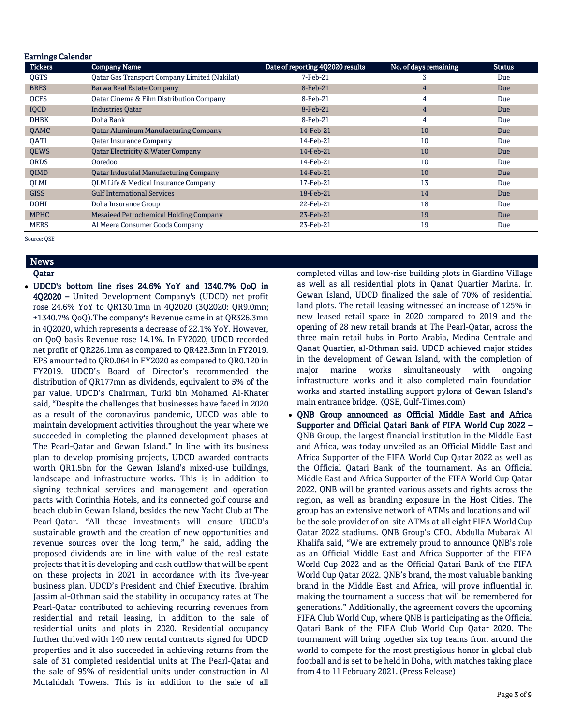| <b>Tickers</b> | <b>Company Name</b>                                  | Date of reporting 4Q2020 results | No. of days remaining | <b>Status</b> |
|----------------|------------------------------------------------------|----------------------------------|-----------------------|---------------|
| QGTS           | <b>Qatar Gas Transport Company Limited (Nakilat)</b> | $7-Feb-21$                       | 3                     | Due           |
| <b>BRES</b>    | <b>Barwa Real Estate Company</b>                     | 8-Feb-21                         | 4                     | Due           |
| QCFS           | Oatar Cinema & Film Distribution Company             | 8-Feb-21                         | 4                     | Due           |
| IQCD           | <b>Industries Oatar</b>                              | 8-Feb-21                         | 4                     | Due           |
| <b>DHBK</b>    | Doha Bank                                            | 8-Feb-21                         | 4                     | Due           |
| QAMC           | <b>Qatar Aluminum Manufacturing Company</b>          | 14-Feb-21                        | 10                    | Due           |
| <b>OATI</b>    | <b>Qatar Insurance Company</b>                       | 14-Feb-21                        | 10                    | Due           |
| <b>QEWS</b>    | <b>Qatar Electricity &amp; Water Company</b>         | 14-Feb-21                        | 10                    | Due           |
| <b>ORDS</b>    | Ooredoo                                              | 14-Feb-21                        | 10                    | Due           |
| QIMD           | <b>Qatar Industrial Manufacturing Company</b>        | 14-Feb-21                        | 10                    | Due           |
| <b>OLMI</b>    | OLM Life & Medical Insurance Company                 | 17-Feb-21                        | 13                    | Due           |
| <b>GISS</b>    | <b>Gulf International Services</b>                   | 18-Feb-21                        | 14                    | Due           |
| <b>DOHI</b>    | Doha Insurance Group                                 | 22-Feb-21                        | 18                    | Due           |
| <b>MPHC</b>    | <b>Mesaieed Petrochemical Holding Company</b>        | 23-Feb-21                        | 19                    | Due           |
| <b>MERS</b>    | Al Meera Consumer Goods Company                      | 23-Feb-21                        | 19                    | Due           |

## **News**

#### Qatar

 UDCD's bottom line rises 24.6% YoY and 1340.7% QoQ in 4Q2020 – United Development Company's (UDCD) net profit rose 24.6% YoY to QR130.1mn in 4Q2020 (3Q2020: QR9.0mn; +1340.7% QoQ).The company's Revenue came in at QR326.3mn in 4Q2020, which represents a decrease of 22.1% YoY. However, on QoQ basis Revenue rose 14.1%. In FY2020, UDCD recorded net profit of QR226.1mn as compared to QR423.3mn in FY2019. EPS amounted to QR0.064 in FY2020 as compared to QR0.120 in FY2019. UDCD's Board of Director's recommended the distribution of QR177mn as dividends, equivalent to 5% of the par value. UDCD's Chairman, Turki bin Mohamed Al-Khater said, "Despite the challenges that businesses have faced in 2020 as a result of the coronavirus pandemic, UDCD was able to maintain development activities throughout the year where we succeeded in completing the planned development phases at The Pearl-Qatar and Gewan Island." In line with its business plan to develop promising projects, UDCD awarded contracts worth QR1.5bn for the Gewan Island's mixed-use buildings, landscape and infrastructure works. This is in addition to signing technical services and management and operation pacts with Corinthia Hotels, and its connected golf course and beach club in Gewan Island, besides the new Yacht Club at The Pearl-Qatar. "All these investments will ensure UDCD's sustainable growth and the creation of new opportunities and revenue sources over the long term," he said, adding the proposed dividends are in line with value of the real estate projects that it is developing and cash outflow that will be spent on these projects in 2021 in accordance with its five-year business plan. UDCD's President and Chief Executive. Ibrahim Jassim al-Othman said the stability in occupancy rates at The Pearl-Qatar contributed to achieving recurring revenues from residential and retail leasing, in addition to the sale of residential units and plots in 2020. Residential occupancy further thrived with 140 new rental contracts signed for UDCD properties and it also succeeded in achieving returns from the sale of 31 completed residential units at The Pearl-Qatar and the sale of 95% of residential units under construction in Al Mutahidah Towers. This is in addition to the sale of all

completed villas and low-rise building plots in Giardino Village as well as all residential plots in Qanat Quartier Marina. In Gewan Island, UDCD finalized the sale of 70% of residential land plots. The retail leasing witnessed an increase of 125% in new leased retail space in 2020 compared to 2019 and the opening of 28 new retail brands at The Pearl-Qatar, across the three main retail hubs in Porto Arabia, Medina Centrale and Qanat Quartier, al-Othman said. UDCD achieved major strides in the development of Gewan Island, with the completion of major marine works simultaneously with ongoing infrastructure works and it also completed main foundation works and started installing support pylons of Gewan Island's main entrance bridge. (QSE, Gulf-Times.com)

 QNB Group announced as Official Middle East and Africa Supporter and Official Qatari Bank of FIFA World Cup 2022 – QNB Group, the largest financial institution in the Middle East and Africa, was today unveiled as an Official Middle East and Africa Supporter of the FIFA World Cup Qatar 2022 as well as the Official Qatari Bank of the tournament. As an Official Middle East and Africa Supporter of the FIFA World Cup Qatar 2022, QNB will be granted various assets and rights across the region, as well as branding exposure in the Host Cities. The group has an extensive network of ATMs and locations and will be the sole provider of on-site ATMs at all eight FIFA World Cup Qatar 2022 stadiums. QNB Group's CEO, Abdulla Mubarak Al Khalifa said, "We are extremely proud to announce QNB's role as an Official Middle East and Africa Supporter of the FIFA World Cup 2022 and as the Official Qatari Bank of the FIFA World Cup Qatar 2022. QNB's brand, the most valuable banking brand in the Middle East and Africa, will prove influential in making the tournament a success that will be remembered for generations." Additionally, the agreement covers the upcoming FIFA Club World Cup, where QNB is participating as the Official Qatari Bank of the FIFA Club World Cup Qatar 2020. The tournament will bring together six top teams from around the world to compete for the most prestigious honor in global club football and is set to be held in Doha, with matches taking place from 4 to 11 February 2021. (Press Release)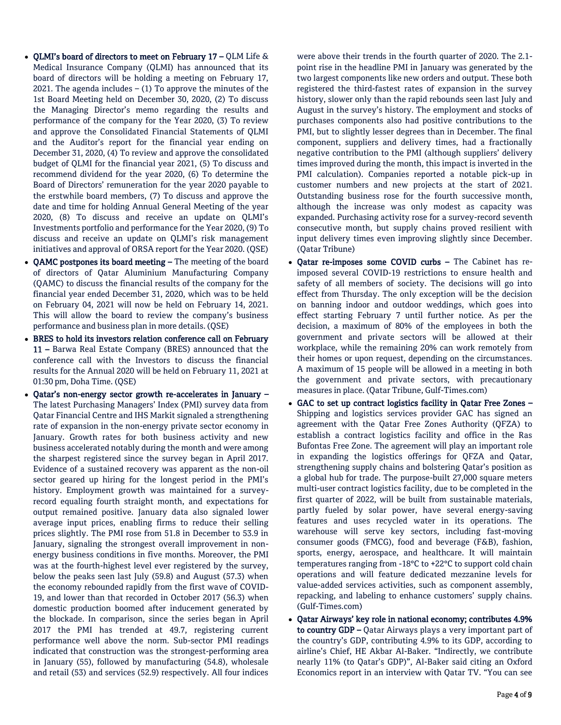- QLMI's board of directors to meet on February  $17 QLM$  Life & Medical Insurance Company (QLMI) has announced that its board of directors will be holding a meeting on February 17, 2021. The agenda includes  $-$  (1) To approve the minutes of the 1st Board Meeting held on December 30, 2020, (2) To discuss the Managing Director's memo regarding the results and performance of the company for the Year 2020, (3) To review and approve the Consolidated Financial Statements of QLMI and the Auditor's report for the financial year ending on December 31, 2020, (4) To review and approve the consolidated budget of QLMI for the financial year 2021, (5) To discuss and recommend dividend for the year 2020, (6) To determine the Board of Directors' remuneration for the year 2020 payable to the erstwhile board members, (7) To discuss and approve the date and time for holding Annual General Meeting of the year 2020, (8) To discuss and receive an update on QLMI's Investments portfolio and performance for the Year 2020, (9) To discuss and receive an update on QLMI's risk management initiatives and approval of ORSA report for the Year 2020. (QSE)
- QAMC postpones its board meeting The meeting of the board of directors of Qatar Aluminium Manufacturing Company (QAMC) to discuss the financial results of the company for the financial year ended December 31, 2020, which was to be held on February 04, 2021 will now be held on February 14, 2021. This will allow the board to review the company's business performance and business plan in more details. (QSE)
- BRES to hold its investors relation conference call on February 11 – Barwa Real Estate Company (BRES) announced that the conference call with the Investors to discuss the financial results for the Annual 2020 will be held on February 11, 2021 at 01:30 pm, Doha Time. (QSE)
- Qatar's non-energy sector growth re-accelerates in January The latest Purchasing Managers' Index (PMI) survey data from Qatar Financial Centre and IHS Markit signaled a strengthening rate of expansion in the non-energy private sector economy in January. Growth rates for both business activity and new business accelerated notably during the month and were among the sharpest registered since the survey began in April 2017. Evidence of a sustained recovery was apparent as the non-oil sector geared up hiring for the longest period in the PMI's history. Employment growth was maintained for a surveyrecord equaling fourth straight month, and expectations for output remained positive. January data also signaled lower average input prices, enabling firms to reduce their selling prices slightly. The PMI rose from 51.8 in December to 53.9 in January, signaling the strongest overall improvement in nonenergy business conditions in five months. Moreover, the PMI was at the fourth-highest level ever registered by the survey, below the peaks seen last July (59.8) and August (57.3) when the economy rebounded rapidly from the first wave of COVID-19, and lower than that recorded in October 2017 (56.3) when domestic production boomed after inducement generated by the blockade. In comparison, since the series began in April 2017 the PMI has trended at 49.7, registering current performance well above the norm. Sub-sector PMI readings indicated that construction was the strongest-performing area in January (55), followed by manufacturing (54.8), wholesale and retail (53) and services (52.9) respectively. All four indices

were above their trends in the fourth quarter of 2020. The 2.1 point rise in the headline PMI in January was generated by the two largest components like new orders and output. These both registered the third-fastest rates of expansion in the survey history, slower only than the rapid rebounds seen last July and August in the survey's history. The employment and stocks of purchases components also had positive contributions to the PMI, but to slightly lesser degrees than in December. The final component, suppliers and delivery times, had a fractionally negative contribution to the PMI (although suppliers' delivery times improved during the month, this impact is inverted in the PMI calculation). Companies reported a notable pick-up in customer numbers and new projects at the start of 2021. Outstanding business rose for the fourth successive month, although the increase was only modest as capacity was expanded. Purchasing activity rose for a survey-record seventh consecutive month, but supply chains proved resilient with input delivery times even improving slightly since December. (Qatar Tribune)

- Qatar re-imposes some COVID curbs The Cabinet has reimposed several COVID-19 restrictions to ensure health and safety of all members of society. The decisions will go into effect from Thursday. The only exception will be the decision on banning indoor and outdoor weddings, which goes into effect starting February 7 until further notice. As per the decision, a maximum of 80% of the employees in both the government and private sectors will be allowed at their workplace, while the remaining 20% can work remotely from their homes or upon request, depending on the circumstances. A maximum of 15 people will be allowed in a meeting in both the government and private sectors, with precautionary measures in place. (Qatar Tribune, Gulf-Times.com)
- GAC to set up contract logistics facility in Qatar Free Zones Shipping and logistics services provider GAC has signed an agreement with the Qatar Free Zones Authority (QFZA) to establish a contract logistics facility and office in the Ras Bufontas Free Zone. The agreement will play an important role in expanding the logistics offerings for QFZA and Qatar, strengthening supply chains and bolstering Qatar's position as a global hub for trade. The purpose-built 27,000 square meters multi-user contract logistics facility, due to be completed in the first quarter of 2022, will be built from sustainable materials, partly fueled by solar power, have several energy-saving features and uses recycled water in its operations. The warehouse will serve key sectors, including fast-moving consumer goods (FMCG), food and beverage (F&B), fashion, sports, energy, aerospace, and healthcare. It will maintain temperatures ranging from -18°C to +22°C to support cold chain operations and will feature dedicated mezzanine levels for value-added services activities, such as component assembly, repacking, and labeling to enhance customers' supply chains. (Gulf-Times.com)
- Qatar Airways' key role in national economy; contributes 4.9% to country GDP - Qatar Airways plays a very important part of the country's GDP, contributing 4.9% to its GDP, according to airline's Chief, HE Akbar Al-Baker. "Indirectly, we contribute nearly 11% (to Qatar's GDP)", Al-Baker said citing an Oxford Economics report in an interview with Qatar TV. "You can see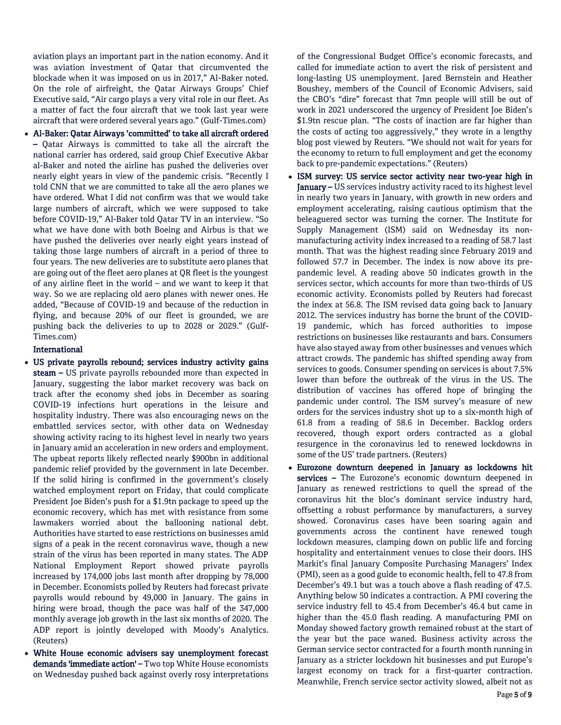aviation plays an important part in the nation economy. And it was aviation investment of Qatar that circumvented the blockade when it was imposed on us in 2017," Al-Baker noted. On the role of airfreight, the Qatar Airways Groups' Chief Executive said, "Air cargo plays a very vital role in our fleet. As a matter of fact the four aircraft that we took last year were aircraft that were ordered several years ago." (Gulf-Times.com)

 Al-Baker: Qatar Airways 'committed' to take all aircraft ordered – Qatar Airways is committed to take all the aircraft the national carrier has ordered, said group Chief Executive Akbar al-Baker and noted the airline has pushed the deliveries over nearly eight years in view of the pandemic crisis. "Recently I told CNN that we are committed to take all the aero planes we have ordered. What I did not confirm was that we would take large numbers of aircraft, which we were supposed to take before COVID-19," Al-Baker told Qatar TV in an interview. "So what we have done with both Boeing and Airbus is that we have pushed the deliveries over nearly eight years instead of taking those large numbers of aircraft in a period of three to four years. The new deliveries are to substitute aero planes that are going out of the fleet aero planes at QR fleet is the youngest of any airline fleet in the world – and we want to keep it that way. So we are replacing old aero planes with newer ones. He added, "Because of COVID-19 and because of the reduction in flying, and because 20% of our fleet is grounded, we are pushing back the deliveries to up to 2028 or 2029." (Gulf-Times.com)

#### International

- US private payrolls rebound; services industry activity gains steam - US private payrolls rebounded more than expected in January, suggesting the labor market recovery was back on track after the economy shed jobs in December as soaring COVID-19 infections hurt operations in the leisure and hospitality industry. There was also encouraging news on the embattled services sector, with other data on Wednesday showing activity racing to its highest level in nearly two years in January amid an acceleration in new orders and employment. The upbeat reports likely reflected nearly \$900bn in additional pandemic relief provided by the government in late December. If the solid hiring is confirmed in the government's closely watched employment report on Friday, that could complicate President Joe Biden's push for a \$1.9tn package to speed up the economic recovery, which has met with resistance from some lawmakers worried about the ballooning national debt. Authorities have started to ease restrictions on businesses amid signs of a peak in the recent coronavirus wave, though a new strain of the virus has been reported in many states. The ADP National Employment Report showed private payrolls increased by 174,000 jobs last month after dropping by 78,000 in December. Economists polled by Reuters had forecast private payrolls would rebound by 49,000 in January. The gains in hiring were broad, though the pace was half of the 347,000 monthly average job growth in the last six months of 2020. The ADP report is jointly developed with Moody's Analytics. (Reuters)
- White House economic advisers say unemployment forecast demands 'immediate action' - Two top White House economists on Wednesday pushed back against overly rosy interpretations

of the Congressional Budget Office's economic forecasts, and called for immediate action to avert the risk of persistent and long-lasting US unemployment. Jared Bernstein and Heather Boushey, members of the Council of Economic Advisers, said the CBO's "dire" forecast that 7mn people will still be out of work in 2021 underscored the urgency of President Joe Biden's \$1.9tn rescue plan. "The costs of inaction are far higher than the costs of acting too aggressively," they wrote in a lengthy blog post viewed by Reuters. "We should not wait for years for the economy to return to full employment and get the economy back to pre-pandemic expectations." (Reuters)

- ISM survey: US service sector activity near two-year high in January - US services industry activity raced to its highest level in nearly two years in January, with growth in new orders and employment accelerating, raising cautious optimism that the beleaguered sector was turning the corner. The Institute for Supply Management (ISM) said on Wednesday its nonmanufacturing activity index increased to a reading of 58.7 last month. That was the highest reading since February 2019 and followed 57.7 in December. The index is now above its prepandemic level. A reading above 50 indicates growth in the services sector, which accounts for more than two-thirds of US economic activity. Economists polled by Reuters had forecast the index at 56.8. The ISM revised data going back to January 2012. The services industry has borne the brunt of the COVID-19 pandemic, which has forced authorities to impose restrictions on businesses like restaurants and bars. Consumers have also stayed away from other businesses and venues which attract crowds. The pandemic has shifted spending away from services to goods. Consumer spending on services is about 7.5% lower than before the outbreak of the virus in the US. The distribution of vaccines has offered hope of bringing the pandemic under control. The ISM survey's measure of new orders for the services industry shot up to a six-month high of 61.8 from a reading of 58.6 in December. Backlog orders recovered, though export orders contracted as a global resurgence in the coronavirus led to renewed lockdowns in some of the US' trade partners. (Reuters)
- Eurozone downturn deepened in January as lockdowns hit services - The Eurozone's economic downturn deepened in January as renewed restrictions to quell the spread of the coronavirus hit the bloc's dominant service industry hard, offsetting a robust performance by manufacturers, a survey showed. Coronavirus cases have been soaring again and governments across the continent have renewed tough lockdown measures, clamping down on public life and forcing hospitality and entertainment venues to close their doors. IHS Markit's final January Composite Purchasing Managers' Index (PMI), seen as a good guide to economic health, fell to 47.8 from December's 49.1 but was a touch above a flash reading of 47.5. Anything below 50 indicates a contraction. A PMI covering the service industry fell to 45.4 from December's 46.4 but came in higher than the 45.0 flash reading. A manufacturing PMI on Monday showed factory growth remained robust at the start of the year but the pace waned. Business activity across the German service sector contracted for a fourth month running in January as a stricter lockdown hit businesses and put Europe's largest economy on track for a first-quarter contraction. Meanwhile, French service sector activity slowed, albeit not as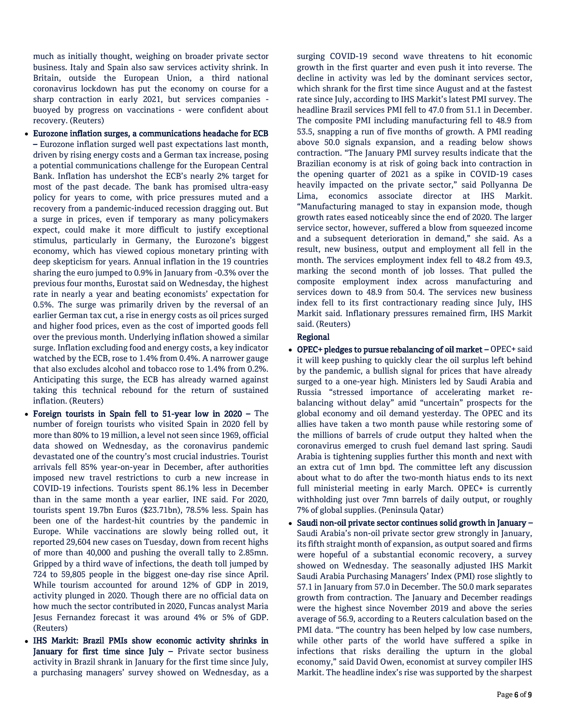much as initially thought, weighing on broader private sector business. Italy and Spain also saw services activity shrink. In Britain, outside the European Union, a third national coronavirus lockdown has put the economy on course for a sharp contraction in early 2021, but services companies buoyed by progress on vaccinations - were confident about recovery. (Reuters)

- Eurozone inflation surges, a communications headache for ECB – Eurozone inflation surged well past expectations last month, driven by rising energy costs and a German tax increase, posing a potential communications challenge for the European Central Bank. Inflation has undershot the ECB's nearly 2% target for most of the past decade. The bank has promised ultra-easy policy for years to come, with price pressures muted and a recovery from a pandemic-induced recession dragging out. But a surge in prices, even if temporary as many policymakers expect, could make it more difficult to justify exceptional stimulus, particularly in Germany, the Eurozone's biggest economy, which has viewed copious monetary printing with deep skepticism for years. Annual inflation in the 19 countries sharing the euro jumped to 0.9% in January from -0.3% over the previous four months, Eurostat said on Wednesday, the highest rate in nearly a year and beating economists' expectation for 0.5%. The surge was primarily driven by the reversal of an earlier German tax cut, a rise in energy costs as oil prices surged and higher food prices, even as the cost of imported goods fell over the previous month. Underlying inflation showed a similar surge. Inflation excluding food and energy costs, a key indicator watched by the ECB, rose to 1.4% from 0.4%. A narrower gauge that also excludes alcohol and tobacco rose to 1.4% from 0.2%. Anticipating this surge, the ECB has already warned against taking this technical rebound for the return of sustained inflation. (Reuters)
- Foreign tourists in Spain fell to 51-year low in 2020 The number of foreign tourists who visited Spain in 2020 fell by more than 80% to 19 million, a level not seen since 1969, official data showed on Wednesday, as the coronavirus pandemic devastated one of the country's most crucial industries. Tourist arrivals fell 85% year-on-year in December, after authorities imposed new travel restrictions to curb a new increase in COVID-19 infections. Tourists spent 86.1% less in December than in the same month a year earlier, INE said. For 2020, tourists spent 19.7bn Euros (\$23.71bn), 78.5% less. Spain has been one of the hardest-hit countries by the pandemic in Europe. While vaccinations are slowly being rolled out, it reported 29,604 new cases on Tuesday, down from recent highs of more than 40,000 and pushing the overall tally to 2.85mn. Gripped by a third wave of infections, the death toll jumped by 724 to 59,805 people in the biggest one-day rise since April. While tourism accounted for around 12% of GDP in 2019, activity plunged in 2020. Though there are no official data on how much the sector contributed in 2020, Funcas analyst Maria Jesus Fernandez forecast it was around 4% or 5% of GDP. (Reuters)
- IHS Markit: Brazil PMIs show economic activity shrinks in January for first time since July  $-$  Private sector business activity in Brazil shrank in January for the first time since July, a purchasing managers' survey showed on Wednesday, as a

surging COVID-19 second wave threatens to hit economic growth in the first quarter and even push it into reverse. The decline in activity was led by the dominant services sector, which shrank for the first time since August and at the fastest rate since July, according to IHS Markit's latest PMI survey. The headline Brazil services PMI fell to 47.0 from 51.1 in December. The composite PMI including manufacturing fell to 48.9 from 53.5, snapping a run of five months of growth. A PMI reading above 50.0 signals expansion, and a reading below shows contraction. "The January PMI survey results indicate that the Brazilian economy is at risk of going back into contraction in the opening quarter of 2021 as a spike in COVID-19 cases heavily impacted on the private sector," said Pollyanna De Lima, economics associate director at IHS Markit. "Manufacturing managed to stay in expansion mode, though growth rates eased noticeably since the end of 2020. The larger service sector, however, suffered a blow from squeezed income and a subsequent deterioration in demand," she said. As a result, new business, output and employment all fell in the month. The services employment index fell to 48.2 from 49.3, marking the second month of job losses. That pulled the composite employment index across manufacturing and services down to 48.9 from 50.4. The services new business index fell to its first contractionary reading since July, IHS Markit said. Inflationary pressures remained firm, IHS Markit said. (Reuters)

#### Regional

- OPEC+ pledges to pursue rebalancing of oil market OPEC+ said it will keep pushing to quickly clear the oil surplus left behind by the pandemic, a bullish signal for prices that have already surged to a one-year high. Ministers led by Saudi Arabia and Russia "stressed importance of accelerating market rebalancing without delay" amid "uncertain" prospects for the global economy and oil demand yesterday. The OPEC and its allies have taken a two month pause while restoring some of the millions of barrels of crude output they halted when the coronavirus emerged to crush fuel demand last spring. Saudi Arabia is tightening supplies further this month and next with an extra cut of 1mn bpd. The committee left any discussion about what to do after the two-month hiatus ends to its next full ministerial meeting in early March. OPEC+ is currently withholding just over 7mn barrels of daily output, or roughly 7% of global supplies. (Peninsula Qatar)
- Saudi non-oil private sector continues solid growth in January Saudi Arabia's non-oil private sector grew strongly in January, its fifth straight month of expansion, as output soared and firms were hopeful of a substantial economic recovery, a survey showed on Wednesday. The seasonally adjusted IHS Markit Saudi Arabia Purchasing Managers' Index (PMI) rose slightly to 57.1 in January from 57.0 in December. The 50.0 mark separates growth from contraction. The January and December readings were the highest since November 2019 and above the series average of 56.9, according to a Reuters calculation based on the PMI data. "The country has been helped by low case numbers, while other parts of the world have suffered a spike in infections that risks derailing the upturn in the global economy," said David Owen, economist at survey compiler IHS Markit. The headline index's rise was supported by the sharpest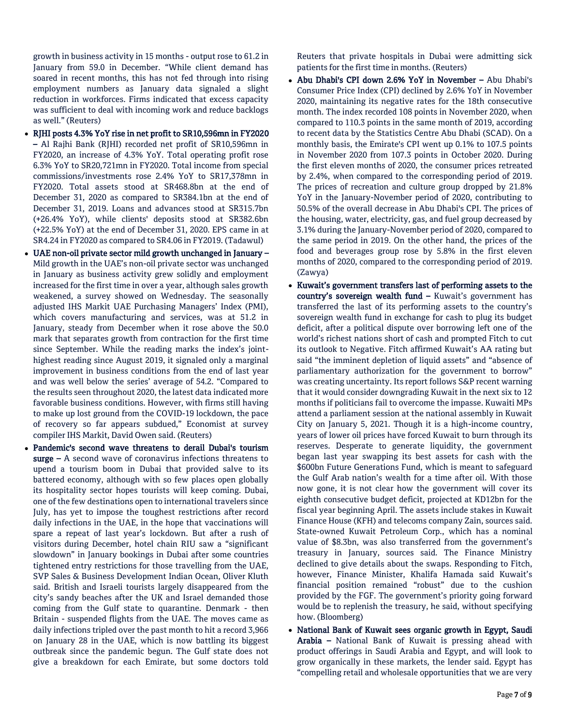growth in business activity in 15 months - output rose to 61.2 in January from 59.0 in December. "While client demand has soared in recent months, this has not fed through into rising employment numbers as January data signaled a slight reduction in workforces. Firms indicated that excess capacity was sufficient to deal with incoming work and reduce backlogs as well." (Reuters)

- RJHI posts 4.3% YoY rise in net profit to SR10,596mn in FY2020 – Al Rajhi Bank (RJHI) recorded net profit of SR10,596mn in FY2020, an increase of 4.3% YoY. Total operating profit rose 6.3% YoY to SR20,721mn in FY2020. Total income from special commissions/investments rose 2.4% YoY to SR17,378mn in FY2020. Total assets stood at SR468.8bn at the end of December 31, 2020 as compared to SR384.1bn at the end of December 31, 2019. Loans and advances stood at SR315.7bn (+26.4% YoY), while clients' deposits stood at SR382.6bn (+22.5% YoY) at the end of December 31, 2020. EPS came in at SR4.24 in FY2020 as compared to SR4.06 in FY2019. (Tadawul)
- UAE non-oil private sector mild growth unchanged in January Mild growth in the UAE's non-oil private sector was unchanged in January as business activity grew solidly and employment increased for the first time in over a year, although sales growth weakened, a survey showed on Wednesday. The seasonally adjusted IHS Markit UAE Purchasing Managers' Index (PMI), which covers manufacturing and services, was at 51.2 in January, steady from December when it rose above the 50.0 mark that separates growth from contraction for the first time since September. While the reading marks the index's jointhighest reading since August 2019, it signaled only a marginal improvement in business conditions from the end of last year and was well below the series' average of 54.2. "Compared to the results seen throughout 2020, the latest data indicated more favorable business conditions. However, with firms still having to make up lost ground from the COVID-19 lockdown, the pace of recovery so far appears subdued," Economist at survey compiler IHS Markit, David Owen said. (Reuters)
- Pandemic's second wave threatens to derail Dubai's tourism surge – A second wave of coronavirus infections threatens to upend a tourism boom in Dubai that provided salve to its battered economy, although with so few places open globally its hospitality sector hopes tourists will keep coming. Dubai, one of the few destinations open to international travelers since July, has yet to impose the toughest restrictions after record daily infections in the UAE, in the hope that vaccinations will spare a repeat of last year's lockdown. But after a rush of visitors during December, hotel chain RIU saw a "significant slowdown" in January bookings in Dubai after some countries tightened entry restrictions for those travelling from the UAE, SVP Sales & Business Development Indian Ocean, Oliver Kluth said. British and Israeli tourists largely disappeared from the city's sandy beaches after the UK and Israel demanded those coming from the Gulf state to quarantine. Denmark - then Britain - suspended flights from the UAE. The moves came as daily infections tripled over the past month to hit a record 3,966 on January 28 in the UAE, which is now battling its biggest outbreak since the pandemic begun. The Gulf state does not give a breakdown for each Emirate, but some doctors told

Reuters that private hospitals in Dubai were admitting sick patients for the first time in months. (Reuters)

- Abu Dhabi's CPI down 2.6% YoY in November Abu Dhabi's Consumer Price Index (CPI) declined by 2.6% YoY in November 2020, maintaining its negative rates for the 18th consecutive month. The index recorded 108 points in November 2020, when compared to 110.3 points in the same month of 2019, according to recent data by the Statistics Centre Abu Dhabi (SCAD). On a monthly basis, the Emirate's CPI went up 0.1% to 107.5 points in November 2020 from 107.3 points in October 2020. During the first eleven months of 2020, the consumer prices retreated by 2.4%, when compared to the corresponding period of 2019. The prices of recreation and culture group dropped by 21.8% YoY in the January-November period of 2020, contributing to 50.5% of the overall decrease in Abu Dhabi's CPI. The prices of the housing, water, electricity, gas, and fuel group decreased by 3.1% during the January-November period of 2020, compared to the same period in 2019. On the other hand, the prices of the food and beverages group rose by 5.8% in the first eleven months of 2020, compared to the corresponding period of 2019. (Zawya)
- Kuwait's government transfers last of performing assets to the country's sovereign wealth fund - Kuwait's government has transferred the last of its performing assets to the country's sovereign wealth fund in exchange for cash to plug its budget deficit, after a political dispute over borrowing left one of the world's richest nations short of cash and prompted Fitch to cut its outlook to Negative. Fitch affirmed Kuwait's AA rating but said "the imminent depletion of liquid assets" and "absence of parliamentary authorization for the government to borrow" was creating uncertainty. Its report follows S&P recent warning that it would consider downgrading Kuwait in the next six to 12 months if politicians fail to overcome the impasse. Kuwaiti MPs attend a parliament session at the national assembly in Kuwait City on January 5, 2021. Though it is a high-income country, years of lower oil prices have forced Kuwait to burn through its reserves. Desperate to generate liquidity, the government began last year swapping its best assets for cash with the \$600bn Future Generations Fund, which is meant to safeguard the Gulf Arab nation's wealth for a time after oil. With those now gone, it is not clear how the government will cover its eighth consecutive budget deficit, projected at KD12bn for the fiscal year beginning April. The assets include stakes in Kuwait Finance House (KFH) and telecoms company Zain, sources said. State-owned Kuwait Petroleum Corp., which has a nominal value of \$8.3bn, was also transferred from the government's treasury in January, sources said. The Finance Ministry declined to give details about the swaps. Responding to Fitch, however, Finance Minister, Khalifa Hamada said Kuwait's financial position remained "robust" due to the cushion provided by the FGF. The government's priority going forward would be to replenish the treasury, he said, without specifying how. (Bloomberg)
- National Bank of Kuwait sees organic growth in Egypt, Saudi Arabia – National Bank of Kuwait is pressing ahead with product offerings in Saudi Arabia and Egypt, and will look to grow organically in these markets, the lender said. Egypt has "compelling retail and wholesale opportunities that we are very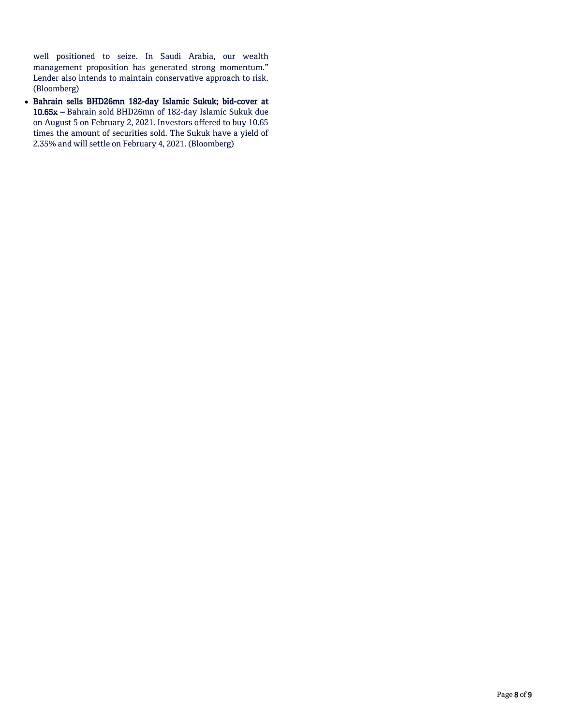well positioned to seize. In Saudi Arabia, our wealth management proposition has generated strong momentum." Lender also intends to maintain conservative approach to risk. (Bloomberg)

 Bahrain sells BHD26mn 182-day Islamic Sukuk; bid-cover at 10.65x – Bahrain sold BHD26mn of 182-day Islamic Sukuk due on August 5 on February 2, 2021. Investors offered to buy 10.65 times the amount of securities sold. The Sukuk have a yield of 2.35% and will settle on February 4, 2021. (Bloomberg)